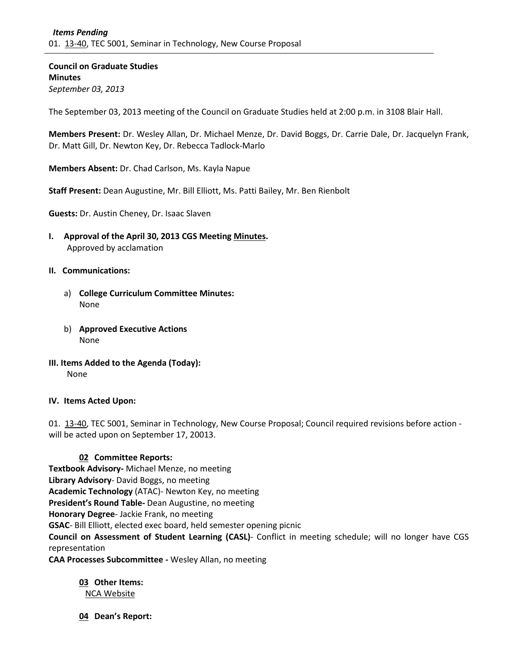**Council on Graduate Studies Minutes** *September 03, 2013*

The September 03, 2013 meeting of the Council on Graduate Studies held at 2:00 p.m. in 3108 Blair Hall.

**Members Present:** Dr. Wesley Allan, Dr. Michael Menze, Dr. David Boggs, Dr. Carrie Dale, Dr. Jacquelyn Frank, Dr. Matt Gill, Dr. Newton Key, Dr. Rebecca Tadlock-Marlo

**Members Absent:** Dr. Chad Carlson, Ms. Kayla Napue

**Staff Present:** Dean Augustine, Mr. Bill Elliott, Ms. Patti Bailey, Mr. Ben Rienbolt

**Guests:** Dr. Austin Cheney, Dr. Isaac Slaven

**I. Approval of the April 30, 2013 CGS Meeting [Minutes.](http://castle.eiu.edu/eiucgs/currentminutes/Minutes04-30-13.pdf)** Approved by acclamation

## **II. Communications:**

- a) **College Curriculum Committee Minutes:** None
- b) **Approved Executive Actions** None

**III. Items Added to the Agenda (Today):** None

## **IV. Items Acted Upon:**

01. [13-40,](http://castle.eiu.edu/~eiucgs/currentagendaitems/agenda13-40.pdf) TEC 5001, Seminar in Technology, New Course Proposal; Council required revisions before action will be acted upon on September 17, 20013.

## **02 Committee Reports:**

**Textbook Advisory-** Michael Menze, no meeting **Library Advisory**- David Boggs, no meeting **Academic Technology** (ATAC)- Newton Key, no meeting **President's Round Table-** Dean Augustine, no meeting **Honorary Degree**- Jackie Frank, no meeting **GSAC**- Bill Elliott, elected exec board, held semester opening picnic **Council on Assessment of Student Learning (CASL)**- Conflict in meeting schedule; will no longer have CGS representation **CAA Processes Subcommittee -** Wesley Allan, no meeting

**03 Other Items:**  [NCA Website](http://www.eiu.edu/nca2014/)

**04 Dean's Report:**